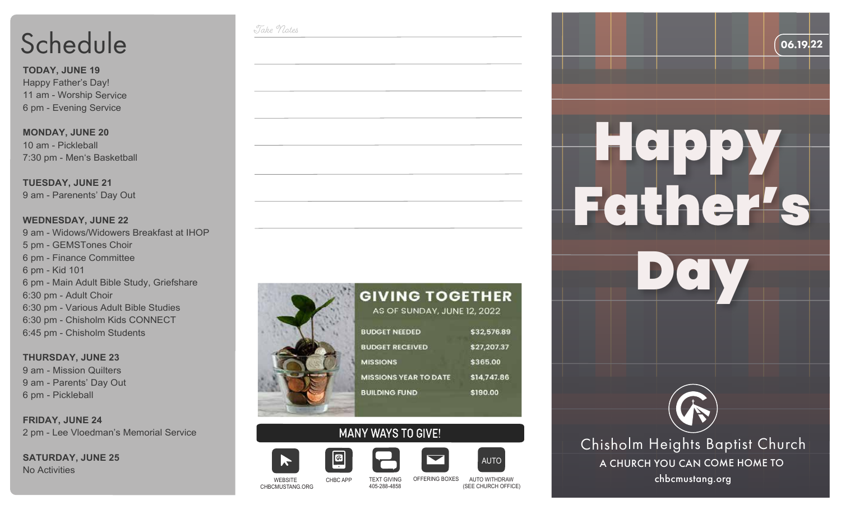# Schedule

**TODAY, JUNE 19** Happy Father's Day! 11 am - Worship Service 6 pm - Evening Service

**MONDAY, JUNE 20** 10 am - Pickleball 7:30 pm - Men's Basketball

**TUESDAY, JUNE 21** 9 am - Parenents' Day Out

#### **WEDNESDAY, JUNE 22**

9 am - Widows/Widowers Breakfast at IHOP 5 pm - GEMSTones Choir 6 pm - Finance Committee 6 pm - Kid 101 6 pm - Main Adult Bible Study, Griefshare 6:30 pm - Adult Choir 6:30 pm - Various Adult Bible Studies 6:30 pm - Chisholm Kids CONNECT 6:45 pm - Chisholm Students

**THURSDAY, JUNE 23** 9 am - Mission Quilters 9 am - Parents' Day Out 6 pm - Pickleball

**FRIDAY, JUNE 24** 2 pm - Lee Vloedman's Memorial Service

**SATURDAY, JUNE 25** No Activities



Take Notes

#### **GIVING TOGETHER** AS OF SUNDAY, JUNE 12, 2022 \$32,576.89 **BUDGET NEEDED BUDGET RECEIVED** \$27,207.37 **MISSIONS** \$365.00 **MISSIONS YEAR TO DATE** \$14,747.86 **BUILDING FUND** \$190.00

## **MANY WAYS TO GIVE!**



CHBCMUSTANG.ORG

CHBC APP

 $\boxed{\circ}$ 











TEXT GIVING OFFERING BOXES 405-288-4858

AUTO WITHDRAW WEBSITE chbcmustang.org (SEE CHURCH OFFICE)

ALITO



06.19.22